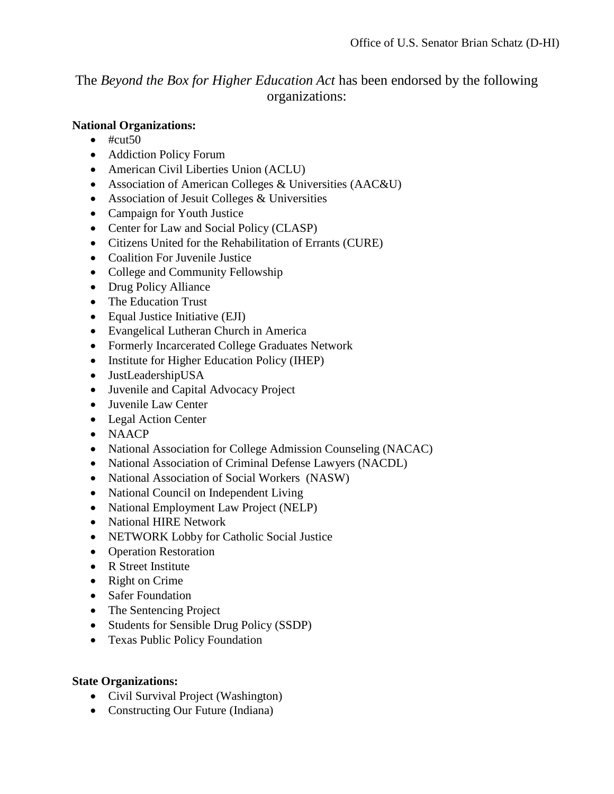The *Beyond the Box for Higher Education Act* has been endorsed by the following organizations:

## **National Organizations:**

- $\bullet$  #cut50
- Addiction Policy Forum
- American Civil Liberties Union (ACLU)
- Association of American Colleges & Universities (AAC&U)
- Association of Jesuit Colleges & Universities
- Campaign for Youth Justice
- Center for Law and Social Policy (CLASP)
- Citizens United for the Rehabilitation of Errants (CURE)
- Coalition For Juvenile Justice
- College and Community Fellowship
- Drug Policy Alliance
- The Education Trust
- Equal Justice Initiative (EJI)
- Evangelical Lutheran Church in America
- Formerly Incarcerated College Graduates Network
- Institute for Higher Education Policy (IHEP)
- JustLeadershipUSA
- Juvenile and Capital Advocacy Project
- Juvenile Law Center
- Legal Action Center
- NAACP
- National Association for College Admission Counseling (NACAC)
- National Association of Criminal Defense Lawyers (NACDL)
- National Association of Social Workers (NASW)
- National Council on Independent Living
- National Employment Law Project (NELP)
- National HIRE Network
- NETWORK Lobby for Catholic Social Justice
- Operation Restoration
- R Street Institute
- Right on Crime
- Safer Foundation
- The Sentencing Project
- Students for Sensible Drug Policy (SSDP)
- Texas Public Policy Foundation

## **State Organizations:**

- Civil Survival Project (Washington)
- Constructing Our Future (Indiana)